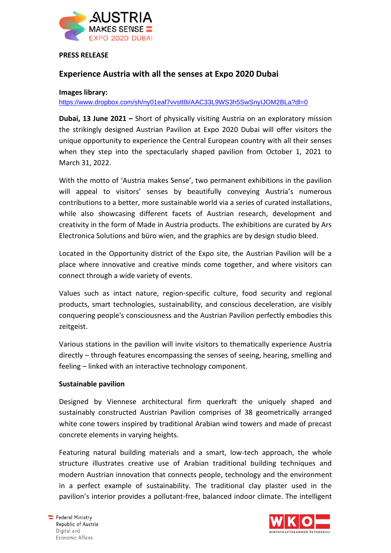

#### **PRESS RELEASE**

# **Experience Austria with all the senses at Expo 2020 Dubai**

**Images library:**

<https://www.dropbox.com/sh/ny01eaf7vvstt8i/AAC33L9WS3h5SwSnyIJOM2BLa?dl=0>

**Dubai, 13 June 2021 –** Short of physically visiting Austria on an exploratory mission the strikingly designed Austrian Pavilion at Expo 2020 Dubai will offer visitors the unique opportunity to experience the Central European country with all their senses when they step into the spectacularly shaped pavilion from October 1, 2021 to March 31, 2022.

With the motto of 'Austria makes Sense', two permanent exhibitions in the pavilion will appeal to visitors' senses by beautifully conveying Austria's numerous contributions to a better, more sustainable world via a series of curated installations, while also showcasing different facets of Austrian research, development and creativity in the form of Made in Austria products. The exhibitions are curated by Ars Electronica Solutions and büro wien, and the graphics are by design studio bleed.

Located in the Opportunity district of the Expo site, the Austrian Pavilion will be a place where innovative and creative minds come together, and where visitors can connect through a wide variety of events.

Values such as intact nature, region-specific culture, food security and regional products, smart technologies, sustainability, and conscious deceleration, are visibly conquering people's consciousness and the Austrian Pavilion perfectly embodies this zeitgeist.

Various stations in the pavilion will invite visitors to thematically experience Austria directly – through features encompassing the senses of seeing, hearing, smelling and feeling – linked with an interactive technology component.

#### **Sustainable pavilion**

Designed by Viennese architectural firm querkraft the uniquely shaped and sustainably constructed Austrian Pavilion comprises of 38 geometrically arranged white cone towers inspired by traditional Arabian wind towers and made of precast concrete elements in varying heights.

Featuring natural building materials and a smart, low-tech approach, the whole structure illustrates creative use of Arabian traditional building techniques and modern Austrian innovation that connects people, technology and the environment in a perfect example of sustainability. The traditional clay plaster used in the pavilion's interior provides a pollutant-free, balanced indoor climate. The intelligent

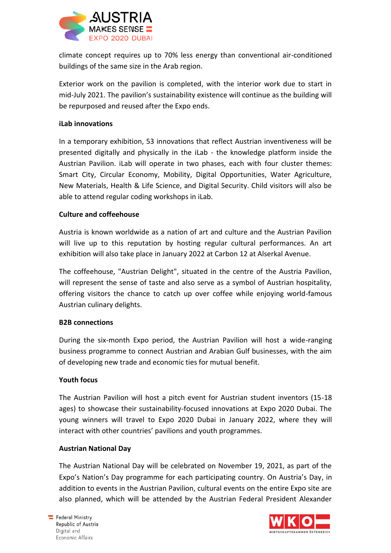

climate concept requires up to 70% less energy than conventional air-conditioned buildings of the same size in the Arab region.

Exterior work on the pavilion is completed, with the interior work due to start in mid-July 2021. The pavilion's sustainability existence will continue as the building will be repurposed and reused after the Expo ends.

## **iLab innovations**

In a temporary exhibition, 53 innovations that reflect Austrian inventiveness will be presented digitally and physically in the iLab - the knowledge platform inside the Austrian Pavilion. iLab will operate in two phases, each with four cluster themes: Smart City, Circular Economy, Mobility, Digital Opportunities, Water Agriculture, New Materials, Health & Life Science, and Digital Security. Child visitors will also be able to attend regular coding workshops in iLab.

## **Culture and coffeehouse**

Austria is known worldwide as a nation of art and culture and the Austrian Pavilion will live up to this reputation by hosting regular cultural performances. An art exhibition will also take place in January 2022 at Carbon 12 at Alserkal Avenue.

The coffeehouse, "Austrian Delight", situated in the centre of the Austria Pavilion, will represent the sense of taste and also serve as a symbol of Austrian hospitality, offering visitors the chance to catch up over coffee while enjoying world-famous Austrian culinary delights.

#### **B2B connections**

During the six-month Expo period, the Austrian Pavilion will host a wide-ranging business programme to connect Austrian and Arabian Gulf businesses, with the aim of developing new trade and economic ties for mutual benefit.

#### **Youth focus**

The Austrian Pavilion will host a pitch event for Austrian student inventors (15-18 ages) to showcase their sustainability-focused innovations at Expo 2020 Dubai. The young winners will travel to Expo 2020 Dubai in January 2022, where they will interact with other countries' pavilions and youth programmes.

#### **Austrian National Day**

The Austrian National Day will be celebrated on November 19, 2021, as part of the Expo's Nation's Day programme for each participating country. On Austria's Day, in addition to events in the Austrian Pavilion, cultural events on the entire Expo site are also planned, which will be attended by the Austrian Federal President Alexander

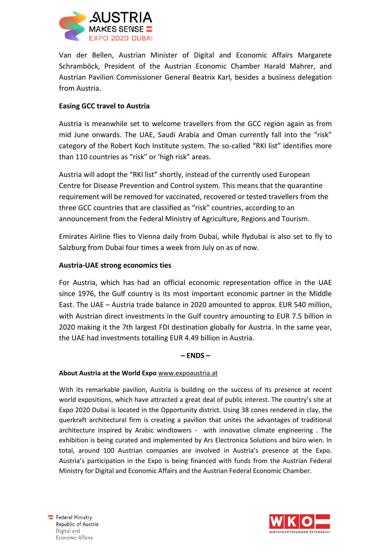

Van der Bellen, Austrian Minister of Digital and Economic Affairs Margarete Schramböck, President of the Austrian Economic Chamber Harald Mahrer, and Austrian Pavilion Commissioner General Beatrix Karl, besides a business delegation from Austria.

## **Easing GCC travel to Austria**

Austria is meanwhile set to welcome travellers from the GCC region again as from mid June onwards. The UAE, Saudi Arabia and Oman currently fall into the "risk" category of the Robert Koch Institute system. The so-called "RKI list" identifies more than 110 countries as "risk" or 'high risk" areas.

Austria will adopt the "RKI list" shortly, instead of the currently used European Centre for Disease Prevention and Control system. This means that the quarantine requirement will be removed for vaccinated, recovered or tested travellers from the three GCC countries that are classified as "risk" countries, according to an announcement from the Federal Ministry of Agriculture, Regions and Tourism.

Emirates Airline flies to Vienna daily from Dubai, while flydubai is also set to fly to Salzburg from Dubai four times a week from July on as of now.

## **Austria-UAE strong economics ties**

For Austria, which has had an official economic representation office in the UAE since 1976, the Gulf country is its most important economic partner in the Middle East. The UAE – Austria trade balance in 2020 amounted to approx. EUR 540 million, with Austrian direct investments in the Gulf country amounting to EUR 7.5 billion in 2020 making it the 7th largest FDI destination globally for Austria. In the same year, the UAE had investments totalling EUR 4.49 billion in Austria.

#### **– ENDS –**

#### **About Austria at the World Expo** [www.expoaustria.at](http://www.expoaustria.at/)

With its remarkable pavilion, Austria is building on the success of its presence at recent world expositions, which have attracted a great deal of public interest. The country's site at Expo 2020 Dubai is located in the Opportunity district. Using 38 cones rendered in clay, the querkraft architectural firm is creating a pavilion that unites the advantages of traditional architecture inspired by Arabic windtowers - with innovative climate engineering . The exhibition is being curated and implemented by Ars Electronica Solutions and büro wien. In total, around 100 Austrian companies are involved in Austria's presence at the Expo. Austria's participation in the Expo is being financed with funds from the Austrian Federal Ministry for Digital and Economic Affairs and the Austrian Federal Economic Chamber.